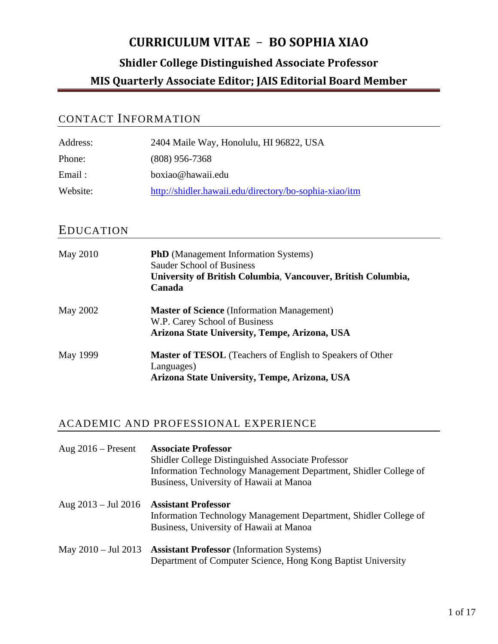## CONTACT INFORMATION

| Address: | 2404 Maile Way, Honolulu, HI 96822, USA                |
|----------|--------------------------------------------------------|
| Phone:   | $(808)$ 956-7368                                       |
| Email:   | boxiao@hawaii.edu                                      |
| Website: | http://shidler.hawaii.edu/directory/bo-sophia-xiao/itm |

### EDUCATION

| May 2010 | <b>PhD</b> (Management Information Systems)<br><b>Sauder School of Business</b><br>University of British Columbia, Vancouver, British Columbia,<br>Canada |
|----------|-----------------------------------------------------------------------------------------------------------------------------------------------------------|
| May 2002 | <b>Master of Science</b> (Information Management)<br>W.P. Carey School of Business<br>Arizona State University, Tempe, Arizona, USA                       |
| May 1999 | <b>Master of TESOL</b> (Teachers of English to Speakers of Other<br>Languages)<br>Arizona State University, Tempe, Arizona, USA                           |

### ACADEMIC AND PROFESSIONAL EXPERIENCE

| Aug $2016$ – Present          | <b>Associate Professor</b><br>Shidler College Distinguished Associate Professor<br>Information Technology Management Department, Shidler College of<br>Business, University of Hawaii at Manoa |
|-------------------------------|------------------------------------------------------------------------------------------------------------------------------------------------------------------------------------------------|
| Aug $2013 - \text{Jul } 2016$ | <b>Assistant Professor</b><br>Information Technology Management Department, Shidler College of<br>Business, University of Hawaii at Manoa                                                      |
| May $2010 - \text{Jul } 2013$ | <b>Assistant Professor</b> (Information Systems)<br>Department of Computer Science, Hong Kong Baptist University                                                                               |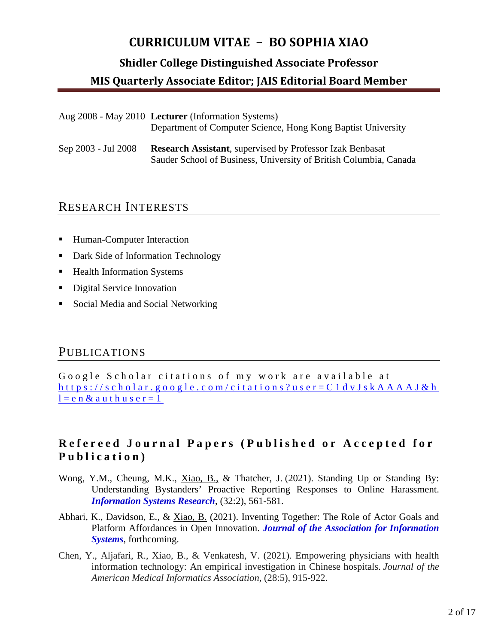#### **Shidler College Distinguished Associate Professor**

#### **MIS Quarterly Associate Editor; JAIS Editorial Board Member**

| Aug 2008 - May 2010 Lecturer (Information Systems)           |
|--------------------------------------------------------------|
| Department of Computer Science, Hong Kong Baptist University |

Sep 2003 - Jul 2008 **Research Assistant**, supervised by Professor Izak Benbasat Sauder School of Business, University of British Columbia, Canada

#### RESEARCH INTERESTS

- Human-Computer Interaction
- Dark Side of Information Technology
- Health Information Systems
- Digital Service Innovation
- Social Media and Social Networking

### PUBLICATIONS

Google Scholar citations of my work are available at [https://scholar.google.com/citations?user=C1dvJskAAAAJ&h](https://scholar.google.com/citations?user=C1dvJskAAAAJ&hl=en&authuser=1)  $l=e n \& a u t h u s e r = 1$ 

### **Refereed Journal Papers ( Published or Accepted for Publication )**

- Wong, Y.M., Cheung, M.K., Xiao, B., & Thatcher, J. (2021). Standing Up or Standing By: Understanding Bystanders' Proactive Reporting Responses to Online Harassment. *Information Systems Research*, (32:2), 561-581.
- Abhari, K., Davidson, E., & Xiao, B. (2021). Inventing Together: The Role of Actor Goals and Platform Affordances in Open Innovation. *Journal of the Association for Information Systems*, forthcoming.
- Chen, Y., Aljafari, R., Xiao, B., & Venkatesh, V. (2021). Empowering physicians with health information technology: An empirical investigation in Chinese hospitals. *Journal of the American Medical Informatics Association*, (28:5), 915-922.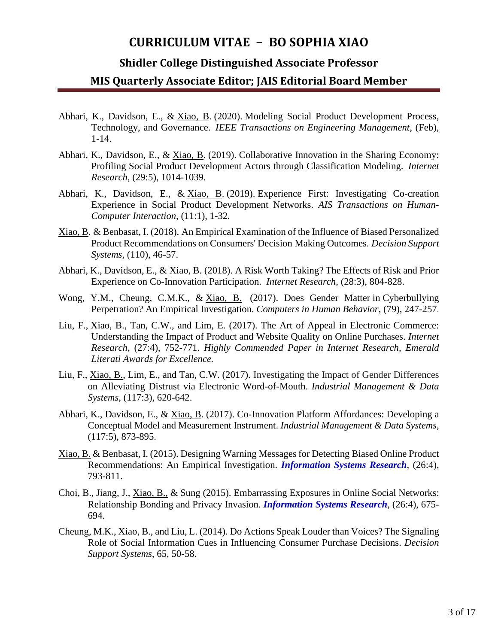#### **Shidler College Distinguished Associate Professor**

- Abhari, K., Davidson, E., & Xiao, B. (2020). Modeling Social Product Development Process, Technology, and Governance. *IEEE Transactions on Engineering Management,* (Feb), 1-14.
- Abhari, K., Davidson, E., & Xiao, B. (2019). Collaborative Innovation in the Sharing Economy: Profiling Social Product Development Actors through Classification Modeling. *Internet Research,* (29:5), 1014-1039*.*
- Abhari, K., Davidson, E., & Xiao, B. (2019). Experience First: Investigating Co-creation Experience in Social Product Development Networks. *AIS Transactions on Human-Computer Interaction,* (11:1), 1-32*.*
- Xiao, B. & Benbasat, I. (2018). An Empirical Examination of the Influence of Biased Personalized Product Recommendations on Consumers' Decision Making Outcomes. *Decision Support Systems*, (110), 46-57.
- Abhari, K., Davidson, E., & Xiao, B. (2018). A Risk Worth Taking? The Effects of Risk and Prior Experience on Co-Innovation Participation. *Internet Research*, (28:3), 804-828.
- Wong, Y.M., Cheung, C.M.K., & Xiao, B. (2017). Does Gender Matter in Cyberbullying Perpetration? An Empirical Investigation. *Computers in Human Behavior*, (79), 247-257.
- Liu, F., Xiao, B., Tan, C.W., and Lim, E. (2017). The Art of Appeal in Electronic Commerce: Understanding the Impact of Product and Website Quality on Online Purchases. *Internet Research*, (27:4), 752-771. *Highly Commended Paper in Internet Research, Emerald Literati Awards for Excellence.*
- Liu, F., Xiao, B., Lim, E., and Tan, C.W. (2017). Investigating the Impact of Gender Differences on Alleviating Distrust via Electronic Word-of-Mouth. *Industrial Management & Data Systems*, (117:3), 620-642.
- Abhari, K., Davidson, E., & Xiao, B. (2017). Co-Innovation Platform Affordances: Developing a Conceptual Model and Measurement Instrument. *Industrial Management & Data Systems*, (117:5), 873-895.
- Xiao, B. & Benbasat, I. (2015). Designing Warning Messages for Detecting Biased Online Product Recommendations: An Empirical Investigation. *Information Systems Research,* (26:4), 793-811.
- Choi, B., Jiang, J., Xiao, B., & Sung (2015). Embarrassing Exposures in Online Social Networks: Relationship Bonding and Privacy Invasion. *Information Systems Research,* (26:4), 675- 694.
- Cheung, M.K., Xiao, B., and Liu, L. (2014). Do Actions Speak Louder than Voices? The Signaling Role of Social Information Cues in Influencing Consumer Purchase Decisions. *Decision Support Systems*, 65, 50-58.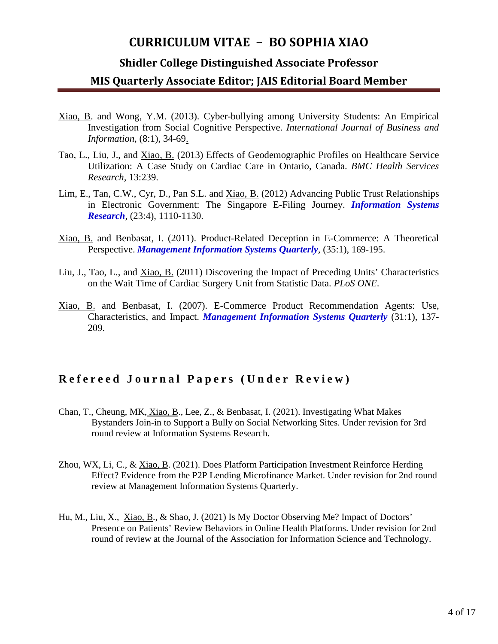#### **Shidler College Distinguished Associate Professor**

#### **MIS Quarterly Associate Editor; JAIS Editorial Board Member**

- Xiao, B. and Wong, Y.M. (2013). Cyber-bullying among University Students: An Empirical Investigation from Social Cognitive Perspective. *International Journal of Business and Information*, (8:1), 34-69.
- Tao, L., Liu, J., and Xiao, B. (2013) [Effects](http://dx.plos.org/10.1371/journal.pone.0021959) of Geodemographic Profiles on Healthcare Service Utilization: A Case Study on Cardiac Care in Ontario, Canada. *BMC Health Services Research,* 13:239.
- Lim, E., Tan, C.W., Cyr, D., Pan S.L. and Xiao, B. (2012) Advancing Public Trust Relationships in Electronic Government: The Singapore E-Filing Journey. *Information Systems Research*, (23:4), 1110-1130.
- Xiao, B. and Benbasat, I. (2011). Product-Related Deception in E-Commerce: A Theoretical Perspective. *Management Information Systems Quarterly,* (35:1), 169-195.
- Liu, J., Tao, L., and Xiao, B. (2011) [Discovering the Impact of Preceding Units' Characteristics](http://dx.plos.org/10.1371/journal.pone.0021959)  [on the Wait Time of Cardiac Surgery Unit from Statistic Data.](http://dx.plos.org/10.1371/journal.pone.0021959) *PLoS ONE*.
- Xiao, B. and Benbasat, I. (2007). E-Commerce Product Recommendation Agents: Use, Characteristics, and Impact. *Management Information Systems Quarterly* (31:1), 137- 209.

## **Refereed Journal Papers (Under Review)**

- Chan, T., Cheung, MK, Xiao, B., Lee, Z., & Benbasat, I. (2021). Investigating What Makes Bystanders Join-in to Support a Bully on Social Networking Sites. Under revision for 3rd round review at Information Systems Research.
- Zhou, WX, Li, C., & Xiao, B. (2021). Does Platform Participation Investment Reinforce Herding Effect? Evidence from the P2P Lending Microfinance Market. Under revision for 2nd round review at Management Information Systems Quarterly.
- Hu, M., Liu, X., Xiao, B., & Shao, J. (2021) Is My Doctor Observing Me? Impact of Doctors' Presence on Patients' Review Behaviors in Online Health Platforms. Under revision for 2nd round of review at the Journal of the Association for Information Science and Technology.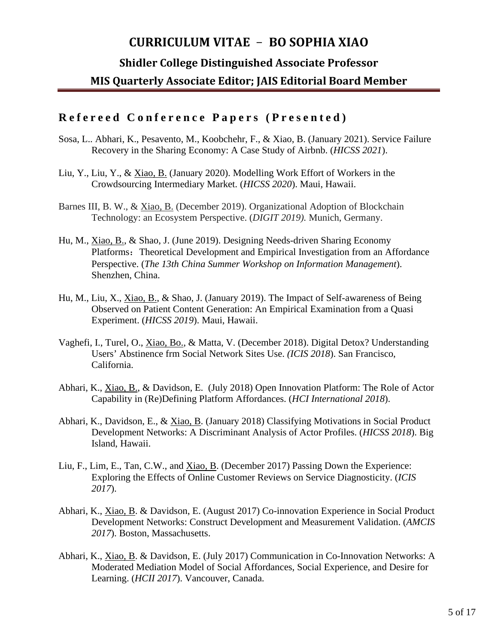#### **Shidler College Distinguished Associate Professor**

#### **MIS Quarterly Associate Editor; JAIS Editorial Board Member**

### **Refereed Conference Papers ( Presented )**

- Sosa, L.. Abhari, K., Pesavento, M., Koobchehr, F., & Xiao, B. (January 2021). Service Failure Recovery in the Sharing Economy: A Case Study of Airbnb. (*HICSS 2021*).
- Liu, Y., Liu, Y., & Xiao, B. (January 2020). Modelling Work Effort of Workers in the Crowdsourcing Intermediary Market. (*HICSS 2020*). Maui, Hawaii.
- Barnes III, B. W., & Xiao, B. (December 2019). Organizational Adoption of Blockchain Technology: an Ecosystem Perspective. (*DIGIT 2019).* Munich, Germany.
- Hu, M., Xiao, B., & Shao, J. (June 2019). Designing Needs-driven Sharing Economy Platforms: Theoretical Development and Empirical Investigation from an Affordance Perspective. (*The 13th China Summer Workshop on Information Management*). Shenzhen, China.
- Hu, M., Liu, X., Xiao, B., & Shao, J. (January 2019). The Impact of Self-awareness of Being Observed on Patient Content Generation: An Empirical Examination from a Quasi Experiment. (*HICSS 2019*). Maui, Hawaii.
- Vaghefi, I., Turel, O., Xiao, Bo., & Matta, V. (December 2018). Digital Detox? Understanding Users' Abstinence frm Social Network Sites Use. *(ICIS 2018*). San Francisco, California.
- Abhari, K., Xiao, B., & Davidson, E. (July 2018) Open Innovation Platform: The Role of Actor Capability in (Re)Defining Platform Affordances. (*HCI International 2018*).
- Abhari, K., Davidson, E., & Xiao, B. (January 2018) Classifying Motivations in Social Product Development Networks: A Discriminant Analysis of Actor Profiles. (*HICSS 2018*). Big Island, Hawaii.
- Liu, F., Lim, E., Tan, C.W., and Xiao, B. (December 2017) Passing Down the Experience: Exploring the Effects of Online Customer Reviews on Service Diagnosticity. (*ICIS 2017*).
- Abhari, K., Xiao, B. & Davidson, E. (August 2017) Co-innovation Experience in Social Product Development Networks: Construct Development and Measurement Validation. (*AMCIS 2017*). Boston, Massachusetts.
- Abhari, K., Xiao, B. & Davidson, E. (July 2017) Communication in Co-Innovation Networks: A Moderated Mediation Model of Social Affordances, Social Experience, and Desire for Learning. (*HCII 2017*). Vancouver, Canada.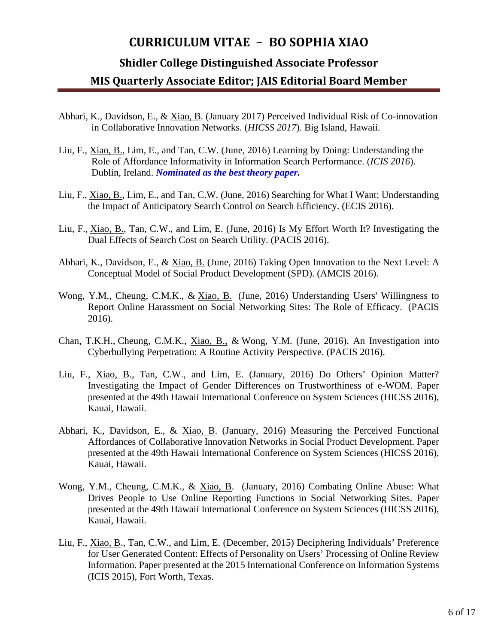#### **Shidler College Distinguished Associate Professor**

- Abhari, K., Davidson, E., & Xiao, B. (January 2017) Perceived Individual Risk of Co-innovation in Collaborative Innovation Networks. (*HICSS 2017*). Big Island, Hawaii.
- Liu, F., Xiao, B., Lim, E., and Tan, C.W. (June, 2016) Learning by Doing: Understanding the Role of Affordance Informativity in Information Search Performance. (*ICIS 2016*). Dublin, Ireland. *Nominated as the best theory paper.*
- Liu, F., Xiao, B., Lim, E., and Tan, C.W. (June, 2016) Searching for What I Want: Understanding the Impact of Anticipatory Search Control on Search Efficiency. (ECIS 2016).
- Liu, F., Xiao, B., Tan, C.W., and Lim, E. (June, 2016) Is My Effort Worth It? Investigating the Dual Effects of Search Cost on Search Utility. (PACIS 2016).
- Abhari, K., Davidson, E., & Xiao, B. (June, 2016) Taking Open Innovation to the Next Level: A Conceptual Model of Social Product Development (SPD). (AMCIS 2016).
- Wong, Y.M., Cheung, C.M.K., & Xiao, B. (June, 2016) Understanding Users' Willingness to Report Online Harassment on Social Networking Sites: The Role of Efficacy. (PACIS 2016).
- Chan, T.K.H., Cheung, C.M.K., Xiao, B., & Wong, Y.M. (June, 2016). An Investigation into Cyberbullying Perpetration: A Routine Activity Perspective. (PACIS 2016).
- Liu, F., Xiao, B., Tan, C.W., and Lim, E. (January, 2016) Do Others' Opinion Matter? Investigating the Impact of Gender Differences on Trustworthiness of e-WOM. Paper presented at the 49th Hawaii International Conference on System Sciences (HICSS 2016), Kauai, Hawaii.
- Abhari, K., Davidson, E., & Xiao, B. (January, 2016) Measuring the Perceived Functional Affordances of Collaborative Innovation Networks in Social Product Development. Paper presented at the 49th Hawaii International Conference on System Sciences (HICSS 2016), Kauai, Hawaii.
- Wong, Y.M., Cheung, C.M.K., & Xiao, B. (January, 2016) Combating Online Abuse: What Drives People to Use Online Reporting Functions in Social Networking Sites. Paper presented at the 49th Hawaii International Conference on System Sciences (HICSS 2016), Kauai, Hawaii.
- Liu, F., Xiao, B., Tan, C.W., and Lim, E. (December, 2015) Deciphering Individuals' Preference for User Generated Content: Effects of Personality on Users' Processing of Online Review Information. Paper presented at the 2015 International Conference on Information Systems (ICIS 2015), Fort Worth, Texas.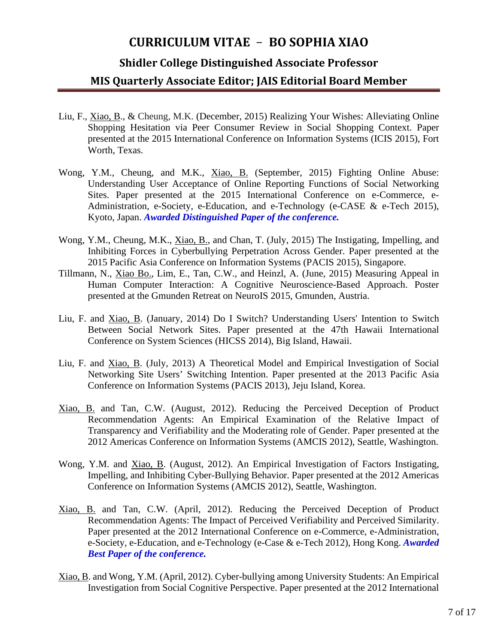#### **Shidler College Distinguished Associate Professor**

- Liu, F., Xiao, B., & Cheung, M.K. (December, 2015) Realizing Your Wishes: Alleviating Online Shopping Hesitation via Peer Consumer Review in Social Shopping Context. Paper presented at the 2015 International Conference on Information Systems (ICIS 2015), Fort Worth, Texas.
- Wong, Y.M., Cheung, and M.K., Xiao, B. (September, 2015) Fighting Online Abuse: Understanding User Acceptance of Online Reporting Functions of Social Networking Sites. Paper presented at the 2015 International Conference on e-Commerce, e-Administration, e-Society, e-Education, and e-Technology (e-CASE & e-Tech 2015), Kyoto, Japan. *Awarded Distinguished Paper of the conference.*
- Wong, Y.M., Cheung, M.K., Xiao, B., and Chan, T. (July, 2015) The Instigating, Impelling, and Inhibiting Forces in Cyberbullying Perpetration Across Gender. Paper presented at the 2015 Pacific Asia Conference on Information Systems (PACIS 2015), Singapore.
- Tillmann, N., Xiao Bo., Lim, E., Tan, C.W., and Heinzl, A. (June, 2015) Measuring Appeal in Human Computer Interaction: A Cognitive Neuroscience-Based Approach. Poster presented at the Gmunden Retreat on NeuroIS 2015, Gmunden, Austria.
- Liu, F. and Xiao, B. (January, 2014) Do I Switch? Understanding Users' Intention to Switch Between Social Network Sites. Paper presented at the 47th Hawaii International Conference on System Sciences (HICSS 2014), Big Island, Hawaii.
- Liu, F. and Xiao, B. (July, 2013) A Theoretical Model and Empirical Investigation of Social Networking Site Users' Switching Intention. Paper presented at the 2013 Pacific Asia Conference on Information Systems (PACIS 2013), Jeju Island, Korea.
- Xiao, B. and Tan, C.W. (August, 2012). Reducing the Perceived Deception of Product Recommendation Agents: An Empirical Examination of the Relative Impact of Transparency and Verifiability and the Moderating role of Gender. Paper presented at the 2012 Americas Conference on Information Systems (AMCIS 2012), Seattle, Washington.
- Wong, Y.M. and <u>Xiao, B</u>. (August, 2012). An Empirical Investigation of Factors Instigating, Impelling, and Inhibiting Cyber-Bullying Behavior. Paper presented at the 2012 Americas Conference on Information Systems (AMCIS 2012), Seattle, Washington.
- Xiao, B. and Tan, C.W. (April, 2012). Reducing the Perceived Deception of Product Recommendation Agents: The Impact of Perceived Verifiability and Perceived Similarity. Paper presented at the 2012 International Conference on e-Commerce, e-Administration, e-Society, e-Education, and e-Technology (e-Case & e-Tech 2012), Hong Kong. *Awarded Best Paper of the conference.*
- Xiao, B. and Wong, Y.M. (April, 2012). Cyber-bullying among University Students: An Empirical Investigation from Social Cognitive Perspective. Paper presented at the 2012 International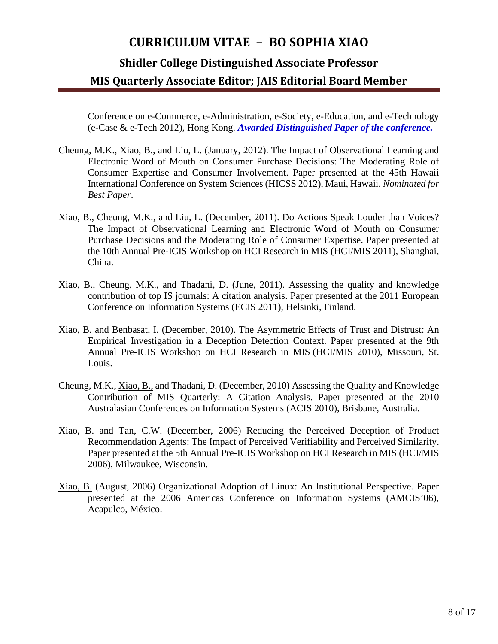#### **Shidler College Distinguished Associate Professor**

#### **MIS Quarterly Associate Editor; JAIS Editorial Board Member**

Conference on e-Commerce, e-Administration, e-Society, e-Education, and e-Technology (e-Case & e-Tech 2012), Hong Kong. *Awarded Distinguished Paper of the conference.*

- Cheung, M.K., Xiao, B., and Liu, L. (January, 2012). The Impact of Observational Learning and Electronic Word of Mouth on Consumer Purchase Decisions: The Moderating Role of Consumer Expertise and Consumer Involvement. Paper presented at the 45th Hawaii International Conference on System Sciences (HICSS 2012), Maui, Hawaii. *Nominated for Best Paper*.
- Xiao, B., Cheung, M.K., and Liu, L. (December, 2011). Do Actions Speak Louder than Voices? The Impact of Observational Learning and Electronic Word of Mouth on Consumer Purchase Decisions and the Moderating Role of Consumer Expertise. Paper presented at the 10th Annual Pre-ICIS Workshop on HCI Research in MIS (HCI/MIS 2011), Shanghai, China.
- Xiao, B., Cheung, M.K., and Thadani, D. (June, 2011). Assessing the quality and knowledge contribution of top IS journals: A citation analysis. Paper presented at the 2011 European Conference on Information Systems (ECIS 2011), Helsinki, Finland.
- Xiao, B. and Benbasat, I. (December, 2010). The Asymmetric Effects of Trust and Distrust: An Empirical Investigation in a Deception Detection Context. Paper presented at the 9th Annual Pre-ICIS Workshop on HCI Research in MIS (HCI/MIS 2010), Missouri, St. Louis.
- Cheung, M.K., Xiao, B., and Thadani, D. (December, 2010) Assessing the Quality and Knowledge Contribution of MIS Quarterly: A Citation Analysis. Paper presented at the 2010 Australasian Conferences on Information Systems (ACIS 2010), Brisbane, Australia.
- Xiao, B. and Tan, C.W. (December, 2006) Reducing the Perceived Deception of Product Recommendation Agents: The Impact of Perceived Verifiability and Perceived Similarity. Paper presented at the 5th Annual Pre-ICIS Workshop on HCI Research in MIS (HCI/MIS 2006), Milwaukee, Wisconsin.
- Xiao, B. (August, 2006) Organizational Adoption of Linux: An Institutional Perspective*.* Paper presented at the 2006 Americas Conference on Information Systems (AMCIS'06), Acapulco, México.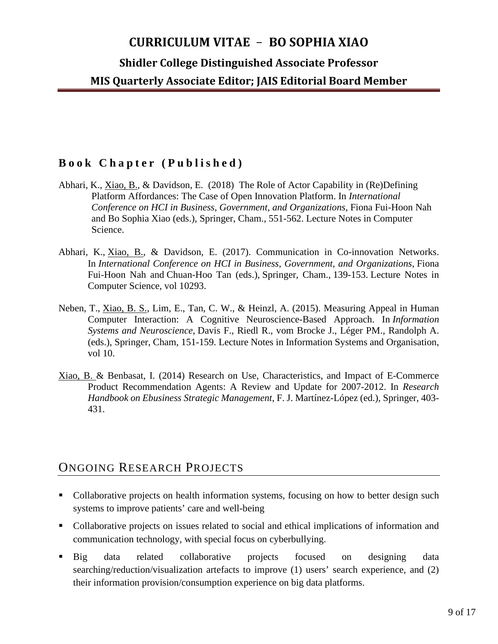**Shidler College Distinguished Associate Professor**

**MIS Quarterly Associate Editor; JAIS Editorial Board Member**

### **Book Chapter ( Published )**

- Abhari, K., Xiao, B., & Davidson, E. (2018) The Role of Actor Capability in (Re)Defining Platform Affordances: The Case of Open Innovation Platform. In *International Conference on HCI in Business, Government, and Organizations*, Fiona Fui-Hoon Nah and Bo Sophia Xiao (eds.), Springer, Cham., 551-562. Lecture Notes in Computer Science.
- Abhari, K., Xiao, B., & Davidson, E. (2017). Communication in Co-innovation Networks. In *International Conference on HCI in Business, Government, and Organizations*, Fiona Fui-Hoon Nah and Chuan-Hoo Tan (eds.), Springer, Cham., 139-153. Lecture Notes in Computer Science, vol 10293.
- Neben, T., Xiao, B. S., Lim, E., Tan, C. W., & Heinzl, A. (2015). Measuring Appeal in Human Computer Interaction: A Cognitive Neuroscience-Based Approach. In *Information Systems and Neuroscience*, Davis F., Riedl R., vom Brocke J., Léger PM., Randolph A. (eds.), Springer, Cham, 151-159. Lecture Notes in Information Systems and Organisation, vol 10.
- Xiao, B. & Benbasat, I. (2014) Research on Use, Characteristics, and Impact of E-Commerce Product Recommendation Agents: A Review and Update for 2007-2012. In *Research Handbook on Ebusiness Strategic Management*, F. J. Martínez-López (ed.), Springer, 403- 431.

## ONGOING RESEARCH PROJECTS

- Collaborative projects on health information systems, focusing on how to better design such systems to improve patients' care and well-being
- Collaborative projects on issues related to social and ethical implications of information and communication technology, with special focus on cyberbullying.
- Big data related collaborative projects focused on designing data searching/reduction/visualization artefacts to improve (1) users' search experience, and (2) their information provision/consumption experience on big data platforms.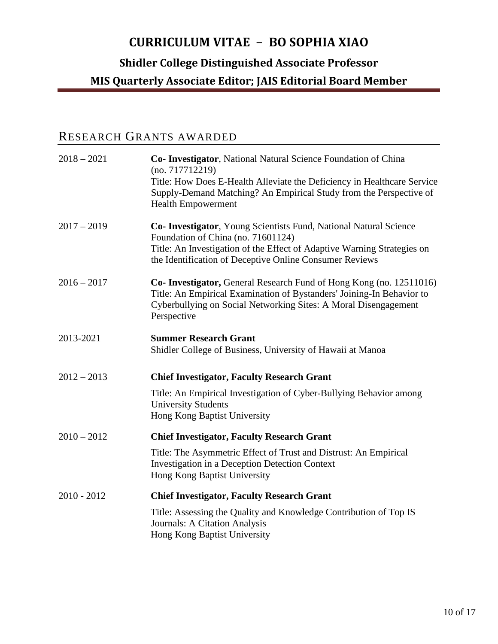# **Shidler College Distinguished Associate Professor**

#### **MIS Quarterly Associate Editor; JAIS Editorial Board Member**

# RESEARCH GRANTS AWARDED

| $2018 - 2021$ | Co- Investigator, National Natural Science Foundation of China<br>(no. 717712219)<br>Title: How Does E-Health Alleviate the Deficiency in Healthcare Service<br>Supply-Demand Matching? An Empirical Study from the Perspective of<br><b>Health Empowerment</b> |
|---------------|-----------------------------------------------------------------------------------------------------------------------------------------------------------------------------------------------------------------------------------------------------------------|
| $2017 - 2019$ | Co- Investigator, Young Scientists Fund, National Natural Science<br>Foundation of China (no. 71601124)<br>Title: An Investigation of the Effect of Adaptive Warning Strategies on<br>the Identification of Deceptive Online Consumer Reviews                   |
| $2016 - 2017$ | <b>Co- Investigator, General Research Fund of Hong Kong (no. 12511016)</b><br>Title: An Empirical Examination of Bystanders' Joining-In Behavior to<br>Cyberbullying on Social Networking Sites: A Moral Disengagement<br>Perspective                           |
| 2013-2021     | <b>Summer Research Grant</b><br>Shidler College of Business, University of Hawaii at Manoa                                                                                                                                                                      |
| $2012 - 2013$ | <b>Chief Investigator, Faculty Research Grant</b>                                                                                                                                                                                                               |
|               | Title: An Empirical Investigation of Cyber-Bullying Behavior among<br><b>University Students</b><br>Hong Kong Baptist University                                                                                                                                |
| $2010 - 2012$ | <b>Chief Investigator, Faculty Research Grant</b>                                                                                                                                                                                                               |
|               | Title: The Asymmetric Effect of Trust and Distrust: An Empirical<br>Investigation in a Deception Detection Context<br>Hong Kong Baptist University                                                                                                              |
| $2010 - 2012$ | <b>Chief Investigator, Faculty Research Grant</b>                                                                                                                                                                                                               |
|               | Title: Assessing the Quality and Knowledge Contribution of Top IS<br>Journals: A Citation Analysis<br>Hong Kong Baptist University                                                                                                                              |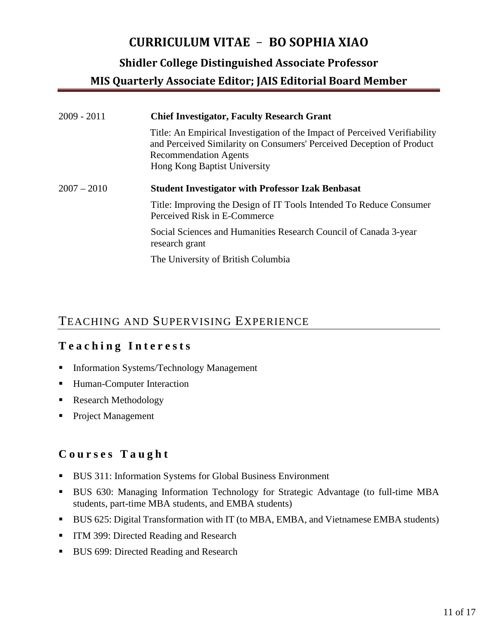**Shidler College Distinguished Associate Professor**

**MIS Quarterly Associate Editor; JAIS Editorial Board Member**

| $2009 - 2011$ | <b>Chief Investigator, Faculty Research Grant</b>                                                                                                                                                                   |
|---------------|---------------------------------------------------------------------------------------------------------------------------------------------------------------------------------------------------------------------|
|               | Title: An Empirical Investigation of the Impact of Perceived Verifiability<br>and Perceived Similarity on Consumers' Perceived Deception of Product<br><b>Recommendation Agents</b><br>Hong Kong Baptist University |
| $2007 - 2010$ | <b>Student Investigator with Professor Izak Benbasat</b>                                                                                                                                                            |
|               | Title: Improving the Design of IT Tools Intended To Reduce Consumer<br>Perceived Risk in E-Commerce                                                                                                                 |
|               | Social Sciences and Humanities Research Council of Canada 3-year<br>research grant                                                                                                                                  |
|               | The University of British Columbia                                                                                                                                                                                  |

# TEACHING AND SUPERVISING EXPERIENCE

# **Teaching Interests**

- **Information Systems/Technology Management**
- **Human-Computer Interaction**
- Research Methodology
- **Project Management**

## **Courses Taught**

- BUS 311: Information Systems for Global Business Environment
- BUS 630: Managing Information Technology for Strategic Advantage (to full-time MBA students, part-time MBA students, and EMBA students)
- BUS 625: Digital Transformation with IT (to MBA, EMBA, and Vietnamese EMBA students)
- **ITM 399: Directed Reading and Research**
- **BUS 699: Directed Reading and Research**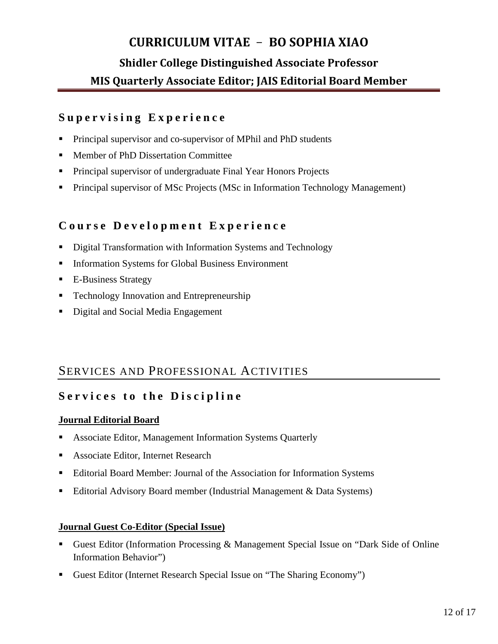### **Supervising Experience**

- Principal supervisor and co-supervisor of MPhil and PhD students
- Member of PhD Dissertation Committee
- **Principal supervisor of undergraduate Final Year Honors Projects**
- **Principal supervisor of MSc Projects (MSc in Information Technology Management)**

### **Course Development Experience**

- **Digital Transformation with Information Systems and Technology**
- **Information Systems for Global Business Environment**
- E-Business Strategy
- Technology Innovation and Entrepreneurship
- Digital and Social Media Engagement

## SERVICES AND PROFESSIONAL ACTIVITIES

## **Services to the Discipline**

#### **Journal Editorial Board**

- Associate Editor, Management Information Systems Quarterly
- Associate Editor, Internet Research
- Editorial Board Member: Journal of the Association for Information Systems
- Editorial Advisory Board member (Industrial Management & Data Systems)

#### **Journal Guest Co-Editor (Special Issue)**

- Guest Editor (Information Processing & Management Special Issue on "Dark Side of Online Information Behavior")
- Guest Editor (Internet Research Special Issue on "The Sharing Economy")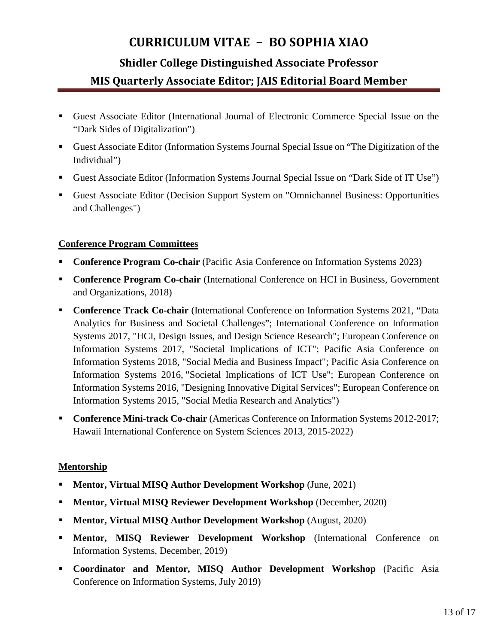- Guest Associate Editor (International Journal of Electronic Commerce Special Issue on the "Dark Sides of Digitalization")
- Guest Associate Editor (Information Systems Journal Special Issue on "The Digitization of the Individual")
- Guest Associate Editor (Information Systems Journal Special Issue on "Dark Side of IT Use")
- Guest Associate Editor (Decision Support System on "Omnichannel Business: Opportunities and Challenges")

#### **Conference Program Committees**

- **Conference Program Co-chair** (Pacific Asia Conference on Information Systems 2023)
- **Conference Program Co-chair** (International Conference on HCI in Business, Government and Organizations, 2018)
- **Conference Track Co-chair** (International Conference on Information Systems 2021, "Data Analytics for Business and Societal Challenges"; International Conference on Information Systems 2017, "HCI, Design Issues, and Design Science Research"; European Conference on Information Systems 2017, "Societal Implications of ICT"; Pacific Asia Conference on Information Systems 2018, "Social Media and Business Impact"; Pacific Asia Conference on Information Systems 2016, "Societal Implications of ICT Use"; European Conference on Information Systems 2016, "Designing Innovative Digital Services"; European Conference on Information Systems 2015, "Social Media Research and Analytics")
- **Conference Mini-track Co-chair** (Americas Conference on Information Systems 2012-2017; Hawaii International Conference on System Sciences 2013, 2015-2022)

#### **Mentorship**

- **Mentor, Virtual MISQ Author Development Workshop** (June, 2021)
- **Mentor, Virtual MISQ Reviewer Development Workshop** (December, 2020)
- **Mentor, Virtual MISQ Author Development Workshop** (August, 2020)
- **Mentor, MISO Reviewer Development Workshop** (International Conference on Information Systems, December, 2019)
- **Coordinator and Mentor, MISQ Author Development Workshop** (Pacific Asia Conference on Information Systems, July 2019)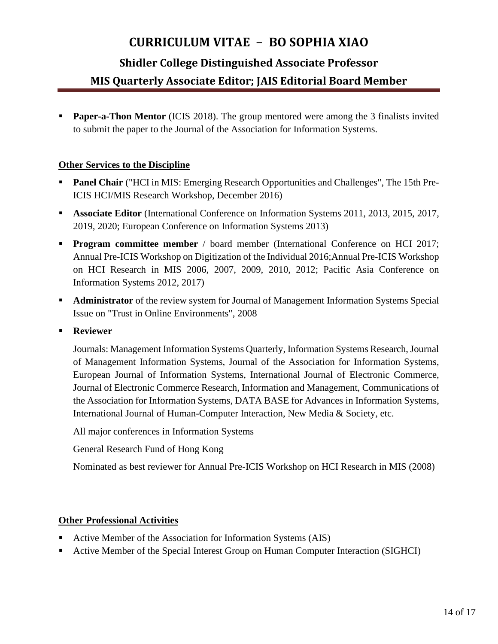#### **Shidler College Distinguished Associate Professor**

### **MIS Quarterly Associate Editor; JAIS Editorial Board Member**

**Paper-a-Thon Mentor** (ICIS 2018). The group mentored were among the 3 finalists invited to submit the paper to the Journal of the Association for Information Systems.

#### **Other Services to the Discipline**

- **Panel Chair** ("HCI in MIS: Emerging Research Opportunities and Challenges", The 15th Pre-ICIS HCI/MIS Research Workshop, December 2016)
- **Associate Editor** (International Conference on Information Systems 2011, 2013, 2015, 2017, 2019, 2020; European Conference on Information Systems 2013)
- **Program committee member** / board member (International Conference on HCI 2017; Annual Pre-ICIS Workshop on Digitization of the Individual 2016;Annual Pre-ICIS Workshop on HCI Research in MIS 2006, 2007, 2009, 2010, 2012; Pacific Asia Conference on Information Systems 2012, 2017)
- **Administrator** of the review system for Journal of Management Information Systems Special Issue on "Trust in Online Environments", 2008
- **Reviewer**

Journals: Management Information Systems Quarterly, Information Systems Research, Journal of Management Information Systems, Journal of the Association for Information Systems, European Journal of Information Systems, International Journal of Electronic Commerce, Journal of Electronic Commerce Research, Information and Management, Communications of the Association for Information Systems, DATA BASE for Advances in Information Systems, International Journal of Human-Computer Interaction, New Media & Society, etc.

All major conferences in Information Systems

General Research Fund of Hong Kong

Nominated as best reviewer for Annual Pre-ICIS Workshop on HCI Research in MIS (2008)

#### **Other Professional Activities**

- Active Member of the Association for Information Systems (AIS)
- Active Member of the Special Interest Group on Human Computer Interaction (SIGHCI)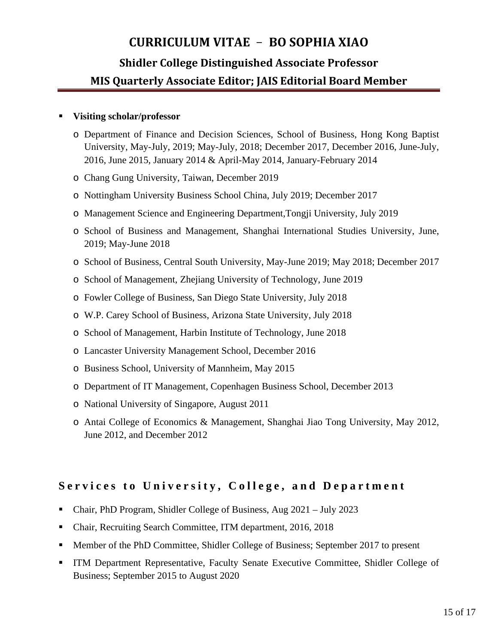#### **Visiting scholar/professor**

- o Department of Finance and Decision Sciences, School of Business, Hong Kong Baptist University, May-July, 2019; May-July, 2018; December 2017, December 2016, June-July, 2016, June 2015, January 2014 & April-May 2014, January-February 2014
- o Chang Gung University, Taiwan, December 2019
- o Nottingham University Business School China, July 2019; December 2017
- o Management Science and Engineering Department,Tongji University, July 2019
- o School of Business and Management, Shanghai International Studies University, June, 2019; May-June 2018
- o School of Business, Central South University, May-June 2019; May 2018; December 2017
- o School of Management, Zhejiang University of Technology, June 2019
- o Fowler College of Business, San Diego State University, July 2018
- o W.P. Carey School of Business, Arizona State University, July 2018
- o School of Management, Harbin Institute of Technology, June 2018
- o Lancaster University Management School, December 2016
- o Business School, University of Mannheim, May 2015
- o Department of IT Management, Copenhagen Business School, December 2013
- o National University of Singapore, August 2011
- o Antai College of Economics & Management, Shanghai Jiao Tong University, May 2012, June 2012, and December 2012

### **Services to University, College, and Department**

- Chair, PhD Program, Shidler College of Business, Aug 2021 July 2023
- Chair, Recruiting Search Committee, ITM department, 2016, 2018
- Member of the PhD Committee, Shidler College of Business; September 2017 to present
- ITM Department Representative, Faculty Senate Executive Committee, Shidler College of Business; September 2015 to August 2020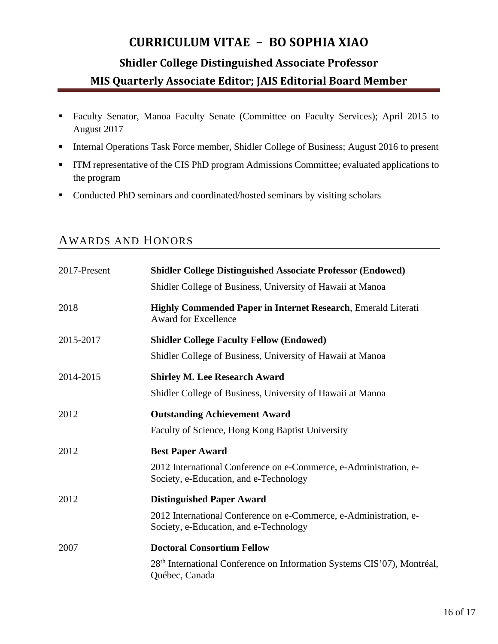- Faculty Senator, Manoa Faculty Senate (Committee on Faculty Services); April 2015 to August 2017
- Internal Operations Task Force member, Shidler College of Business; August 2016 to present
- **ITM** representative of the CIS PhD program Admissions Committee; evaluated applications to the program
- Conducted PhD seminars and coordinated/hosted seminars by visiting scholars

# AWARDS AND HONORS

| 2017-Present | <b>Shidler College Distinguished Associate Professor (Endowed)</b><br>Shidler College of Business, University of Hawaii at Manoa                |
|--------------|-------------------------------------------------------------------------------------------------------------------------------------------------|
| 2018         | <b>Highly Commended Paper in Internet Research, Emerald Literati</b><br><b>Award for Excellence</b>                                             |
| 2015-2017    | <b>Shidler College Faculty Fellow (Endowed)</b><br>Shidler College of Business, University of Hawaii at Manoa                                   |
| 2014-2015    | <b>Shirley M. Lee Research Award</b><br>Shidler College of Business, University of Hawaii at Manoa                                              |
| 2012         | <b>Outstanding Achievement Award</b><br>Faculty of Science, Hong Kong Baptist University                                                        |
| 2012         | <b>Best Paper Award</b><br>2012 International Conference on e-Commerce, e-Administration, e-<br>Society, e-Education, and e-Technology          |
| 2012         | <b>Distinguished Paper Award</b><br>2012 International Conference on e-Commerce, e-Administration, e-<br>Society, e-Education, and e-Technology |
| 2007         | <b>Doctoral Consortium Fellow</b><br>28 <sup>th</sup> International Conference on Information Systems CIS'07), Montréal,<br>Québec, Canada      |